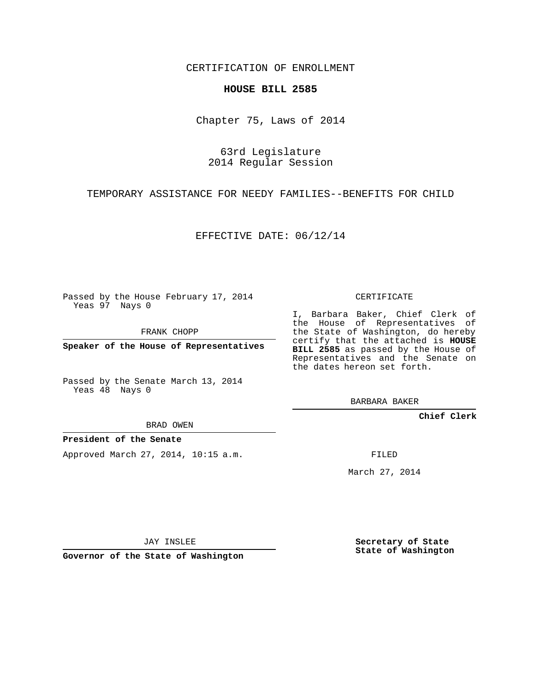CERTIFICATION OF ENROLLMENT

## **HOUSE BILL 2585**

Chapter 75, Laws of 2014

63rd Legislature 2014 Regular Session

TEMPORARY ASSISTANCE FOR NEEDY FAMILIES--BENEFITS FOR CHILD

EFFECTIVE DATE: 06/12/14

Passed by the House February 17, 2014 Yeas 97 Nays 0

FRANK CHOPP

**Speaker of the House of Representatives**

Passed by the Senate March 13, 2014 Yeas 48 Nays 0

BRAD OWEN

## **President of the Senate**

Approved March 27, 2014, 10:15 a.m.

CERTIFICATE

I, Barbara Baker, Chief Clerk of the House of Representatives of the State of Washington, do hereby certify that the attached is **HOUSE BILL 2585** as passed by the House of Representatives and the Senate on the dates hereon set forth.

BARBARA BAKER

**Chief Clerk**

FILED

March 27, 2014

JAY INSLEE

**Governor of the State of Washington**

**Secretary of State State of Washington**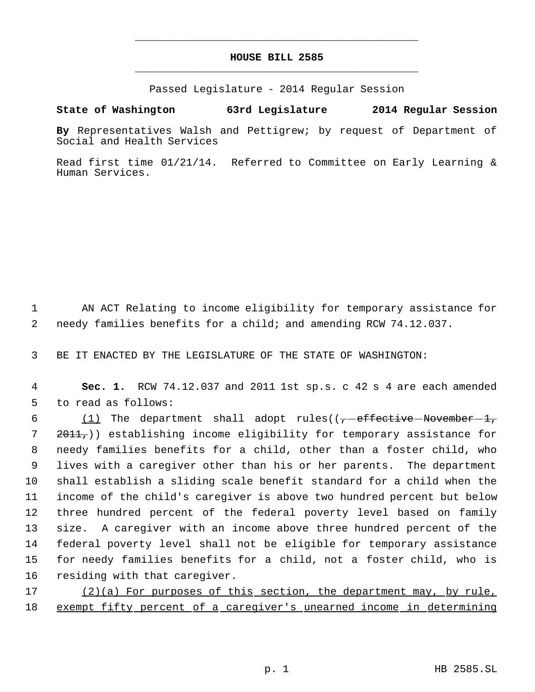## **HOUSE BILL 2585** \_\_\_\_\_\_\_\_\_\_\_\_\_\_\_\_\_\_\_\_\_\_\_\_\_\_\_\_\_\_\_\_\_\_\_\_\_\_\_\_\_\_\_\_\_

\_\_\_\_\_\_\_\_\_\_\_\_\_\_\_\_\_\_\_\_\_\_\_\_\_\_\_\_\_\_\_\_\_\_\_\_\_\_\_\_\_\_\_\_\_

Passed Legislature - 2014 Regular Session

## **State of Washington 63rd Legislature 2014 Regular Session**

**By** Representatives Walsh and Pettigrew; by request of Department of Social and Health Services

Read first time 01/21/14. Referred to Committee on Early Learning & Human Services.

 1 AN ACT Relating to income eligibility for temporary assistance for 2 needy families benefits for a child; and amending RCW 74.12.037.

3 BE IT ENACTED BY THE LEGISLATURE OF THE STATE OF WASHINGTON:

 4 **Sec. 1.** RCW 74.12.037 and 2011 1st sp.s. c 42 s 4 are each amended 5 to read as follows:

6 (1) The department shall adopt rules( $(-$ -effective-November-1, 7 <del>2011,</del>)) establishing income eligibility for temporary assistance for needy families benefits for a child, other than a foster child, who lives with a caregiver other than his or her parents. The department shall establish a sliding scale benefit standard for a child when the income of the child's caregiver is above two hundred percent but below three hundred percent of the federal poverty level based on family size. A caregiver with an income above three hundred percent of the federal poverty level shall not be eligible for temporary assistance for needy families benefits for a child, not a foster child, who is residing with that caregiver.

17 (2)(a) For purposes of this section, the department may, by rule, 18 exempt fifty percent of a caregiver's unearned income in determining